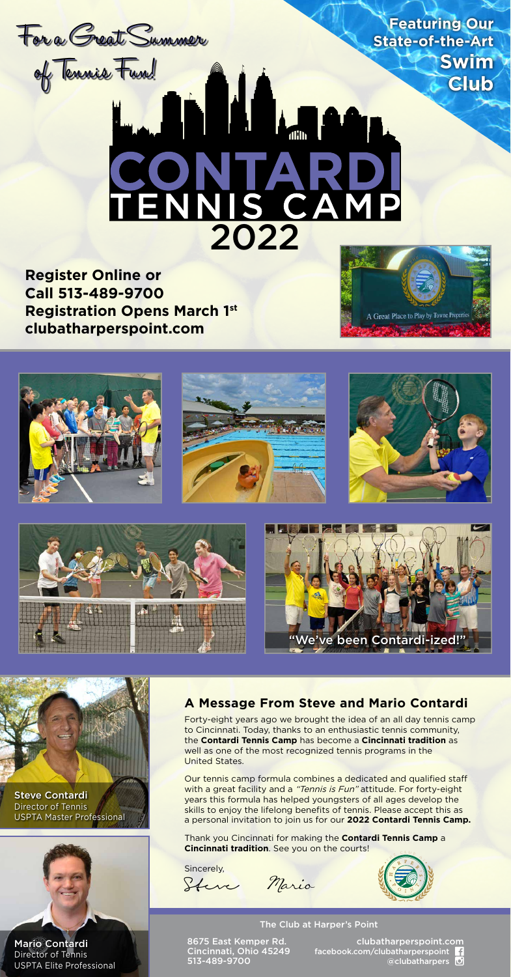

**Call 513-489-9700 Registration Opens March 1st clubatharperspoint.com**











Director of Tennis USPTA Master Professional



Director of Tennis USPTA Elite Professional

# **A Message From Steve and Mario Contardi**

Forty-eight years ago we brought the idea of an all day tennis camp to Cincinnati. Today, thanks to an enthusiastic tennis community, the **Contardi Tennis Camp** has become a **Cincinnati tradition** as well as one of the most recognized tennis programs in the United States.

Our tennis camp formula combines a dedicated and qualified staff with a great facility and a "Tennis is Fun" attitude. For forty-eight years this formula has helped youngsters of all ages develop the skills to enjoy the lifelong benefits of tennis. Please accept this as a personal invitation to join us for our **2022 Contardi Tennis Camp.**

Thank you Cincinnati for making the **Contardi Tennis Camp** a **Cincinnati tradition**. See you on the courts!

Sincerely, Steve Maria



## The Club at Harper's Point

8675 East Kemper Rd. Cincinnati, Ohio 45249 513-489-9700

clubatharperspoint.com<br><del>fa</del>cebook.com/clubatharperspoint @clubatharpers